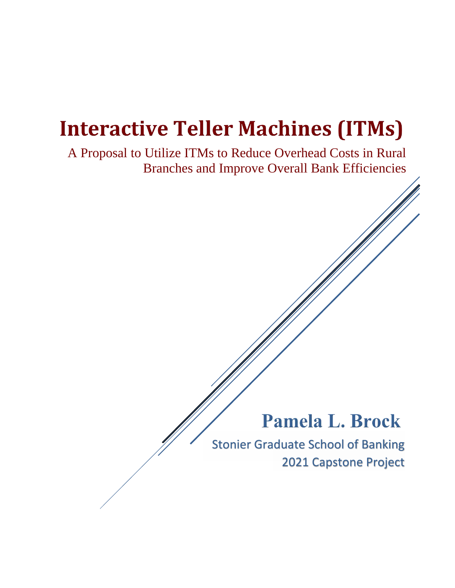# **Interactive Teller Machines (ITMs)**

 $\overline{a}$ A Proposal to Utilize ITMs to Reduce Overhead Costs in Rural Branches and Improve Overall Bank Efficiencies

## **Pamela L. Brock**

Stonier Graduate School of Banking 2021 Capstone Project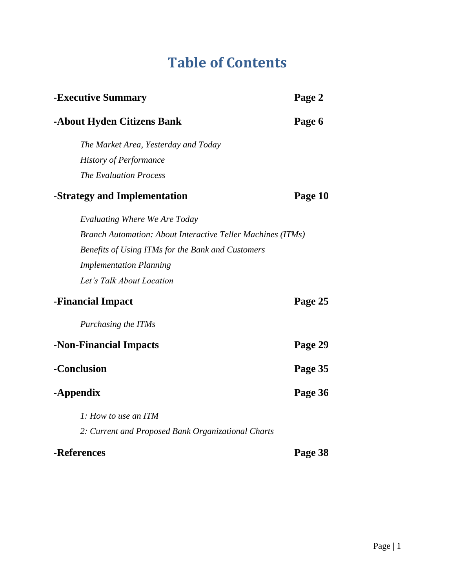## **Table of Contents**

| -Executive Summary                                                 | Page 2  |  |  |  |
|--------------------------------------------------------------------|---------|--|--|--|
| -About Hyden Citizens Bank                                         | Page 6  |  |  |  |
| The Market Area, Yesterday and Today                               |         |  |  |  |
| <b>History of Performance</b>                                      |         |  |  |  |
| <b>The Evaluation Process</b>                                      |         |  |  |  |
| -Strategy and Implementation                                       | Page 10 |  |  |  |
| Evaluating Where We Are Today                                      |         |  |  |  |
| <b>Branch Automation: About Interactive Teller Machines (ITMs)</b> |         |  |  |  |
| Benefits of Using ITMs for the Bank and Customers                  |         |  |  |  |
| <b>Implementation Planning</b>                                     |         |  |  |  |
| Let's Talk About Location                                          |         |  |  |  |
| -Financial Impact                                                  | Page 25 |  |  |  |
| Purchasing the ITMs                                                |         |  |  |  |
| -Non-Financial Impacts                                             | Page 29 |  |  |  |
| -Conclusion                                                        | Page 35 |  |  |  |
| -Appendix                                                          | Page 36 |  |  |  |
| 1: How to use an ITM                                               |         |  |  |  |
| 2: Current and Proposed Bank Organizational Charts                 |         |  |  |  |
| -References                                                        | Page 38 |  |  |  |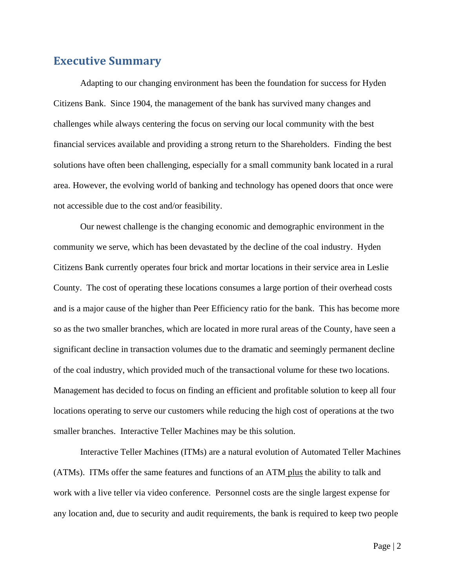## **Executive Summary**

Adapting to our changing environment has been the foundation for success for Hyden Citizens Bank. Since 1904, the management of the bank has survived many changes and challenges while always centering the focus on serving our local community with the best financial services available and providing a strong return to the Shareholders. Finding the best solutions have often been challenging, especially for a small community bank located in a rural area. However, the evolving world of banking and technology has opened doors that once were not accessible due to the cost and/or feasibility.

 Our newest challenge is the changing economic and demographic environment in the community we serve, which has been devastated by the decline of the coal industry. Hyden Citizens Bank currently operates four brick and mortar locations in their service area in Leslie County. The cost of operating these locations consumes a large portion of their overhead costs and is a major cause of the higher than Peer Efficiency ratio for the bank. This has become more so as the two smaller branches, which are located in more rural areas of the County, have seen a significant decline in transaction volumes due to the dramatic and seemingly permanent decline of the coal industry, which provided much of the transactional volume for these two locations. Management has decided to focus on finding an efficient and profitable solution to keep all four locations operating to serve our customers while reducing the high cost of operations at the two smaller branches. Interactive Teller Machines may be this solution.

Interactive Teller Machines (ITMs) are a natural evolution of Automated Teller Machines (ATMs). ITMs offer the same features and functions of an ATM plus the ability to talk and work with a live teller via video conference. Personnel costs are the single largest expense for any location and, due to security and audit requirements, the bank is required to keep two people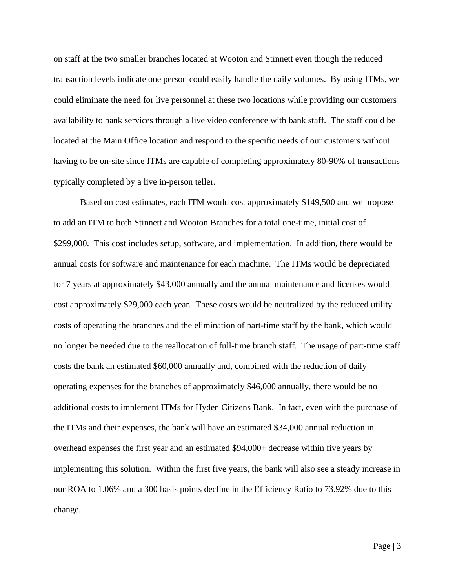on staff at the two smaller branches located at Wooton and Stinnett even though the reduced transaction levels indicate one person could easily handle the daily volumes. By using ITMs, we could eliminate the need for live personnel at these two locations while providing our customers availability to bank services through a live video conference with bank staff. The staff could be located at the Main Office location and respond to the specific needs of our customers without having to be on-site since ITMs are capable of completing approximately 80-90% of transactions typically completed by a live in-person teller.

Based on cost estimates, each ITM would cost approximately \$149,500 and we propose to add an ITM to both Stinnett and Wooton Branches for a total one-time, initial cost of \$299,000. This cost includes setup, software, and implementation. In addition, there would be annual costs for software and maintenance for each machine. The ITMs would be depreciated for 7 years at approximately \$43,000 annually and the annual maintenance and licenses would cost approximately \$29,000 each year. These costs would be neutralized by the reduced utility costs of operating the branches and the elimination of part-time staff by the bank, which would no longer be needed due to the reallocation of full-time branch staff. The usage of part-time staff costs the bank an estimated \$60,000 annually and, combined with the reduction of daily operating expenses for the branches of approximately \$46,000 annually, there would be no additional costs to implement ITMs for Hyden Citizens Bank. In fact, even with the purchase of the ITMs and their expenses, the bank will have an estimated \$34,000 annual reduction in overhead expenses the first year and an estimated \$94,000+ decrease within five years by implementing this solution. Within the first five years, the bank will also see a steady increase in our ROA to 1.06% and a 300 basis points decline in the Efficiency Ratio to 73.92% due to this change.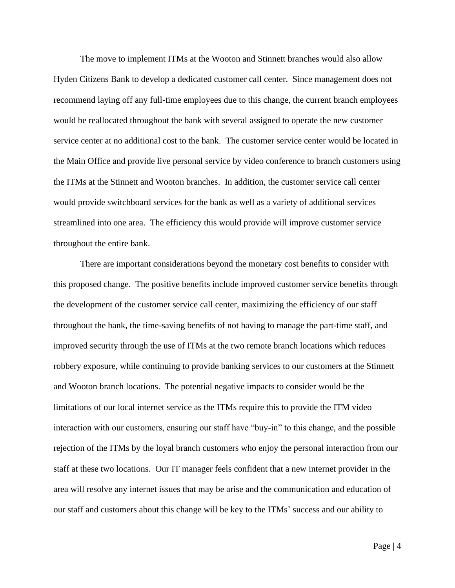The move to implement ITMs at the Wooton and Stinnett branches would also allow Hyden Citizens Bank to develop a dedicated customer call center. Since management does not recommend laying off any full-time employees due to this change, the current branch employees would be reallocated throughout the bank with several assigned to operate the new customer service center at no additional cost to the bank. The customer service center would be located in the Main Office and provide live personal service by video conference to branch customers using the ITMs at the Stinnett and Wooton branches. In addition, the customer service call center would provide switchboard services for the bank as well as a variety of additional services streamlined into one area. The efficiency this would provide will improve customer service throughout the entire bank.

 There are important considerations beyond the monetary cost benefits to consider with this proposed change. The positive benefits include improved customer service benefits through the development of the customer service call center, maximizing the efficiency of our staff throughout the bank, the time-saving benefits of not having to manage the part-time staff, and improved security through the use of ITMs at the two remote branch locations which reduces robbery exposure, while continuing to provide banking services to our customers at the Stinnett and Wooton branch locations. The potential negative impacts to consider would be the limitations of our local internet service as the ITMs require this to provide the ITM video interaction with our customers, ensuring our staff have "buy-in" to this change, and the possible rejection of the ITMs by the loyal branch customers who enjoy the personal interaction from our staff at these two locations. Our IT manager feels confident that a new internet provider in the area will resolve any internet issues that may be arise and the communication and education of our staff and customers about this change will be key to the ITMs' success and our ability to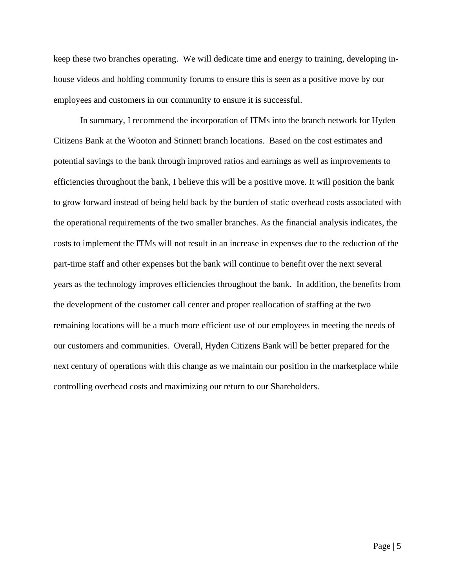keep these two branches operating. We will dedicate time and energy to training, developing inhouse videos and holding community forums to ensure this is seen as a positive move by our employees and customers in our community to ensure it is successful.

In summary, I recommend the incorporation of ITMs into the branch network for Hyden Citizens Bank at the Wooton and Stinnett branch locations. Based on the cost estimates and potential savings to the bank through improved ratios and earnings as well as improvements to efficiencies throughout the bank, I believe this will be a positive move. It will position the bank to grow forward instead of being held back by the burden of static overhead costs associated with the operational requirements of the two smaller branches. As the financial analysis indicates, the costs to implement the ITMs will not result in an increase in expenses due to the reduction of the part-time staff and other expenses but the bank will continue to benefit over the next several years as the technology improves efficiencies throughout the bank. In addition, the benefits from the development of the customer call center and proper reallocation of staffing at the two remaining locations will be a much more efficient use of our employees in meeting the needs of our customers and communities. Overall, Hyden Citizens Bank will be better prepared for the next century of operations with this change as we maintain our position in the marketplace while controlling overhead costs and maximizing our return to our Shareholders.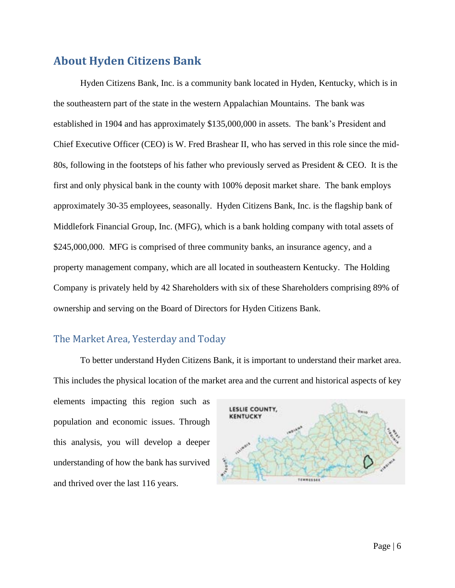## **About Hyden Citizens Bank**

Hyden Citizens Bank, Inc. is a community bank located in Hyden, Kentucky, which is in the southeastern part of the state in the western Appalachian Mountains. The bank was established in 1904 and has approximately \$135,000,000 in assets. The bank's President and Chief Executive Officer (CEO) is W. Fred Brashear II, who has served in this role since the mid-80s, following in the footsteps of his father who previously served as President & CEO. It is the first and only physical bank in the county with 100% deposit market share. The bank employs approximately 30-35 employees, seasonally. Hyden Citizens Bank, Inc. is the flagship bank of Middlefork Financial Group, Inc. (MFG), which is a bank holding company with total assets of \$245,000,000. MFG is comprised of three community banks, an insurance agency, and a property management company, which are all located in southeastern Kentucky. The Holding Company is privately held by 42 Shareholders with six of these Shareholders comprising 89% of ownership and serving on the Board of Directors for Hyden Citizens Bank.

### The Market Area, Yesterday and Today

To better understand Hyden Citizens Bank, it is important to understand their market area. This includes the physical location of the market area and the current and historical aspects of key

elements impacting this region such as population and economic issues. Through this analysis, you will develop a deeper understanding of how the bank has survived and thrived over the last 116 years.

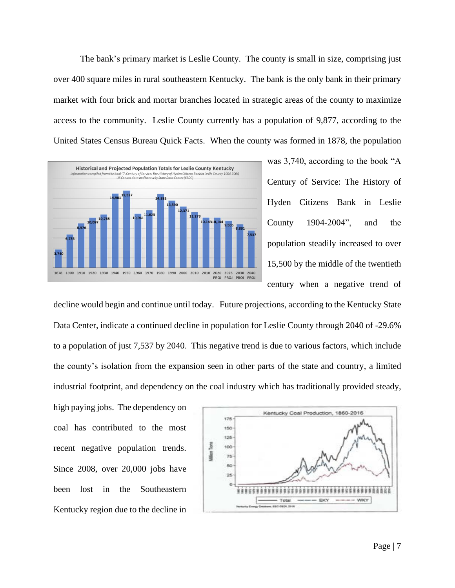The bank's primary market is Leslie County. The county is small in size, comprising just over 400 square miles in rural southeastern Kentucky. The bank is the only bank in their primary market with four brick and mortar branches located in strategic areas of the county to maximize access to the community. Leslie County currently has a population of 9,877, according to the United States Census Bureau Quick Facts. When the county was formed in 1878, the population



was 3,740, according to the book "A Century of Service: The History of Hyden Citizens Bank in Leslie County 1904-2004", and the population steadily increased to over 15,500 by the middle of the twentieth century when a negative trend of

decline would begin and continue until today. Future projections, according to the Kentucky State Data Center, indicate a continued decline in population for Leslie County through 2040 of -29.6% to a population of just 7,537 by 2040. This negative trend is due to various factors, which include the county's isolation from the expansion seen in other parts of the state and country, a limited industrial footprint, and dependency on the coal industry which has traditionally provided steady,

high paying jobs. The dependency on coal has contributed to the most recent negative population trends. Since 2008, over 20,000 jobs have been lost in the Southeastern Kentucky region due to the decline in

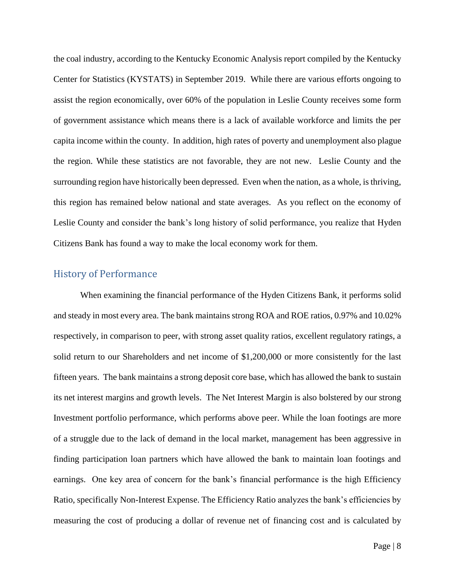the coal industry, according to the Kentucky Economic Analysis report compiled by the Kentucky Center for Statistics (KYSTATS) in September 2019. While there are various efforts ongoing to assist the region economically, over 60% of the population in Leslie County receives some form of government assistance which means there is a lack of available workforce and limits the per capita income within the county. In addition, high rates of poverty and unemployment also plague the region. While these statistics are not favorable, they are not new. Leslie County and the surrounding region have historically been depressed. Even when the nation, as a whole, is thriving, this region has remained below national and state averages. As you reflect on the economy of Leslie County and consider the bank's long history of solid performance, you realize that Hyden Citizens Bank has found a way to make the local economy work for them.

#### History of Performance

When examining the financial performance of the Hyden Citizens Bank, it performs solid and steady in most every area. The bank maintains strong ROA and ROE ratios, 0.97% and 10.02% respectively, in comparison to peer, with strong asset quality ratios, excellent regulatory ratings, a solid return to our Shareholders and net income of \$1,200,000 or more consistently for the last fifteen years. The bank maintains a strong deposit core base, which has allowed the bank to sustain its net interest margins and growth levels. The Net Interest Margin is also bolstered by our strong Investment portfolio performance, which performs above peer. While the loan footings are more of a struggle due to the lack of demand in the local market, management has been aggressive in finding participation loan partners which have allowed the bank to maintain loan footings and earnings. One key area of concern for the bank's financial performance is the high Efficiency Ratio, specifically Non-Interest Expense. The Efficiency Ratio analyzes the bank's efficiencies by measuring the cost of producing a dollar of revenue net of financing cost and is calculated by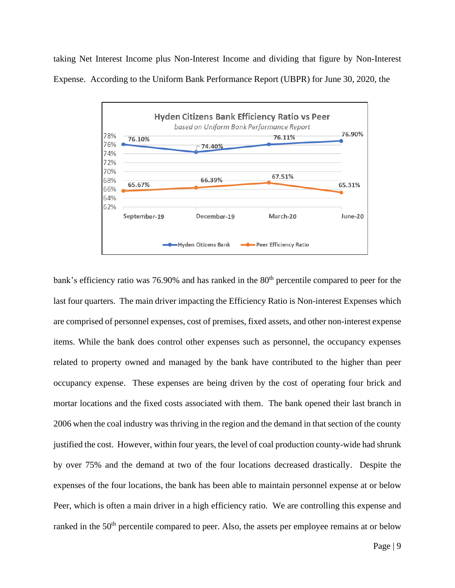taking Net Interest Income plus Non-Interest Income and dividing that figure by Non-Interest Expense. According to the Uniform Bank Performance Report (UBPR) for June 30, 2020, the



bank's efficiency ratio was 76.90% and has ranked in the  $80<sup>th</sup>$  percentile compared to peer for the last four quarters. The main driver impacting the Efficiency Ratio is Non-interest Expenses which are comprised of personnel expenses, cost of premises, fixed assets, and other non-interest expense items. While the bank does control other expenses such as personnel, the occupancy expenses related to property owned and managed by the bank have contributed to the higher than peer occupancy expense. These expenses are being driven by the cost of operating four brick and mortar locations and the fixed costs associated with them. The bank opened their last branch in 2006 when the coal industry was thriving in the region and the demand in that section of the county justified the cost. However, within four years, the level of coal production county-wide had shrunk by over 75% and the demand at two of the four locations decreased drastically. Despite the expenses of the four locations, the bank has been able to maintain personnel expense at or below Peer, which is often a main driver in a high efficiency ratio. We are controlling this expense and ranked in the 50<sup>th</sup> percentile compared to peer. Also, the assets per employee remains at or below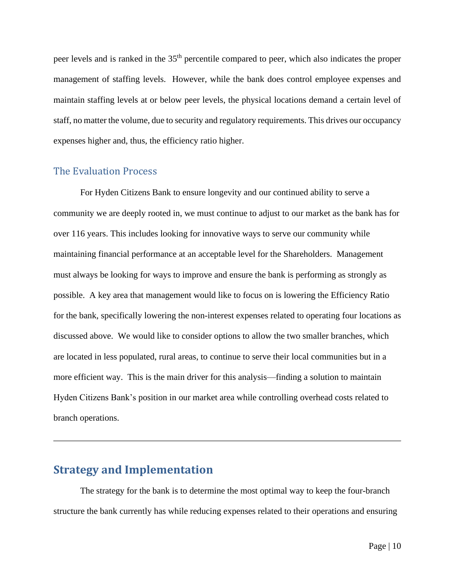peer levels and is ranked in the 35th percentile compared to peer, which also indicates the proper management of staffing levels. However, while the bank does control employee expenses and maintain staffing levels at or below peer levels, the physical locations demand a certain level of staff, no matter the volume, due to security and regulatory requirements. This drives our occupancy expenses higher and, thus, the efficiency ratio higher.

#### The Evaluation Process

For Hyden Citizens Bank to ensure longevity and our continued ability to serve a community we are deeply rooted in, we must continue to adjust to our market as the bank has for over 116 years. This includes looking for innovative ways to serve our community while maintaining financial performance at an acceptable level for the Shareholders. Management must always be looking for ways to improve and ensure the bank is performing as strongly as possible. A key area that management would like to focus on is lowering the Efficiency Ratio for the bank, specifically lowering the non-interest expenses related to operating four locations as discussed above. We would like to consider options to allow the two smaller branches, which are located in less populated, rural areas, to continue to serve their local communities but in a more efficient way. This is the main driver for this analysis—finding a solution to maintain Hyden Citizens Bank's position in our market area while controlling overhead costs related to branch operations.

### **Strategy and Implementation**

The strategy for the bank is to determine the most optimal way to keep the four-branch structure the bank currently has while reducing expenses related to their operations and ensuring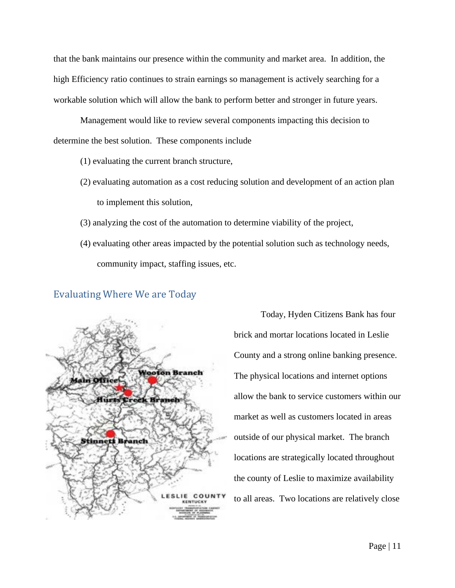that the bank maintains our presence within the community and market area. In addition, the high Efficiency ratio continues to strain earnings so management is actively searching for a workable solution which will allow the bank to perform better and stronger in future years.

Management would like to review several components impacting this decision to determine the best solution. These components include

- (1) evaluating the current branch structure,
- (2) evaluating automation as a cost reducing solution and development of an action plan to implement this solution,
- (3) analyzing the cost of the automation to determine viability of the project,
- (4) evaluating other areas impacted by the potential solution such as technology needs, community impact, staffing issues, etc.



#### Evaluating Where We are Today

Today, Hyden Citizens Bank has four brick and mortar locations located in Leslie County and a strong online banking presence. The physical locations and internet options allow the bank to service customers within our market as well as customers located in areas outside of our physical market. The branch locations are strategically located throughout the county of Leslie to maximize availability to all areas. Two locations are relatively close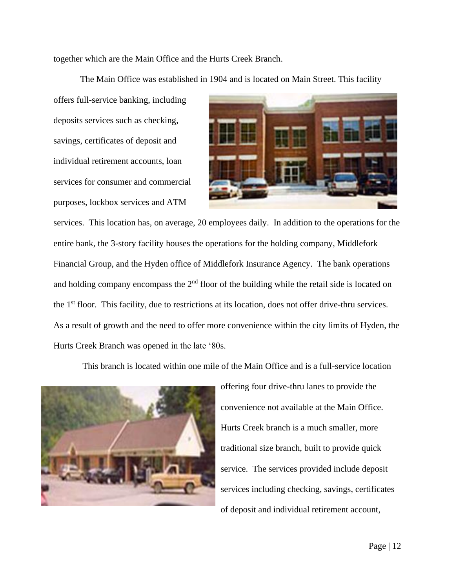together which are the Main Office and the Hurts Creek Branch.

The Main Office was established in 1904 and is located on Main Street. This facility

offers full-service banking, including deposits services such as checking, savings, certificates of deposit and individual retirement accounts, loan services for consumer and commercial purposes, lockbox services and ATM



services. This location has, on average, 20 employees daily. In addition to the operations for the entire bank, the 3-story facility houses the operations for the holding company, Middlefork Financial Group, and the Hyden office of Middlefork Insurance Agency. The bank operations and holding company encompass the  $2<sup>nd</sup>$  floor of the building while the retail side is located on the 1st floor. This facility, due to restrictions at its location, does not offer drive-thru services. As a result of growth and the need to offer more convenience within the city limits of Hyden, the Hurts Creek Branch was opened in the late '80s.

This branch is located within one mile of the Main Office and is a full-service location



offering four drive-thru lanes to provide the convenience not available at the Main Office. Hurts Creek branch is a much smaller, more traditional size branch, built to provide quick service. The services provided include deposit services including checking, savings, certificates of deposit and individual retirement account,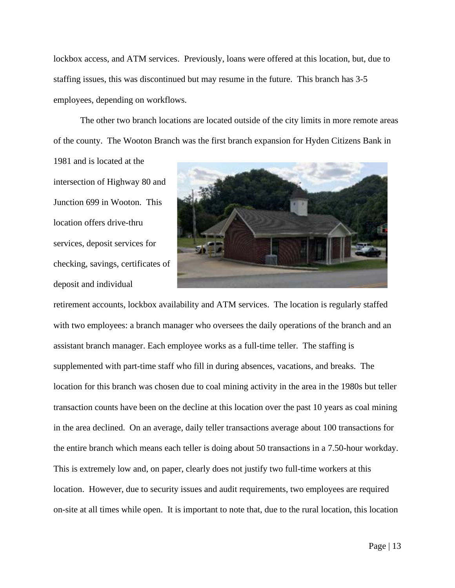lockbox access, and ATM services. Previously, loans were offered at this location, but, due to staffing issues, this was discontinued but may resume in the future. This branch has 3-5 employees, depending on workflows.

The other two branch locations are located outside of the city limits in more remote areas of the county. The Wooton Branch was the first branch expansion for Hyden Citizens Bank in

1981 and is located at the intersection of Highway 80 and Junction 699 in Wooton. This location offers drive-thru services, deposit services for checking, savings, certificates of deposit and individual



retirement accounts, lockbox availability and ATM services. The location is regularly staffed with two employees: a branch manager who oversees the daily operations of the branch and an assistant branch manager. Each employee works as a full-time teller. The staffing is supplemented with part-time staff who fill in during absences, vacations, and breaks. The location for this branch was chosen due to coal mining activity in the area in the 1980s but teller transaction counts have been on the decline at this location over the past 10 years as coal mining in the area declined. On an average, daily teller transactions average about 100 transactions for the entire branch which means each teller is doing about 50 transactions in a 7.50-hour workday. This is extremely low and, on paper, clearly does not justify two full-time workers at this location. However, due to security issues and audit requirements, two employees are required on-site at all times while open. It is important to note that, due to the rural location, this location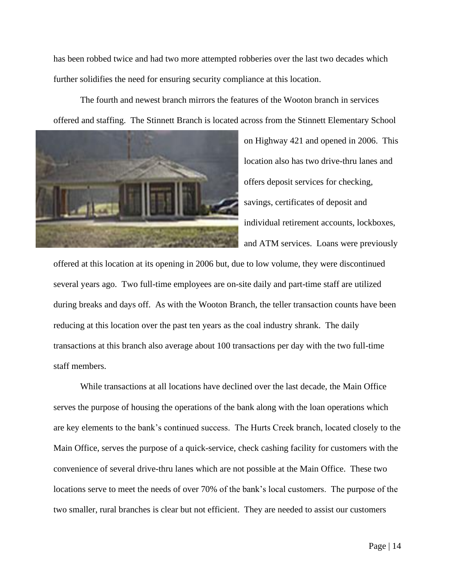has been robbed twice and had two more attempted robberies over the last two decades which further solidifies the need for ensuring security compliance at this location.

The fourth and newest branch mirrors the features of the Wooton branch in services offered and staffing. The Stinnett Branch is located across from the Stinnett Elementary School



on Highway 421 and opened in 2006. This location also has two drive-thru lanes and offers deposit services for checking, savings, certificates of deposit and individual retirement accounts, lockboxes, and ATM services. Loans were previously

offered at this location at its opening in 2006 but, due to low volume, they were discontinued several years ago. Two full-time employees are on-site daily and part-time staff are utilized during breaks and days off. As with the Wooton Branch, the teller transaction counts have been reducing at this location over the past ten years as the coal industry shrank. The daily transactions at this branch also average about 100 transactions per day with the two full-time staff members.

While transactions at all locations have declined over the last decade, the Main Office serves the purpose of housing the operations of the bank along with the loan operations which are key elements to the bank's continued success. The Hurts Creek branch, located closely to the Main Office, serves the purpose of a quick-service, check cashing facility for customers with the convenience of several drive-thru lanes which are not possible at the Main Office. These two locations serve to meet the needs of over 70% of the bank's local customers. The purpose of the two smaller, rural branches is clear but not efficient. They are needed to assist our customers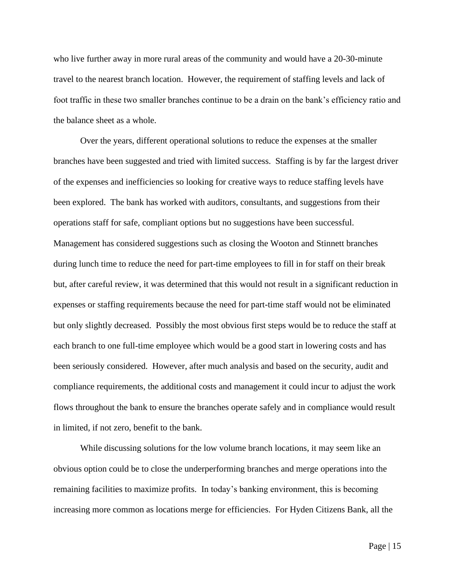who live further away in more rural areas of the community and would have a 20-30-minute travel to the nearest branch location. However, the requirement of staffing levels and lack of foot traffic in these two smaller branches continue to be a drain on the bank's efficiency ratio and the balance sheet as a whole.

Over the years, different operational solutions to reduce the expenses at the smaller branches have been suggested and tried with limited success. Staffing is by far the largest driver of the expenses and inefficiencies so looking for creative ways to reduce staffing levels have been explored. The bank has worked with auditors, consultants, and suggestions from their operations staff for safe, compliant options but no suggestions have been successful. Management has considered suggestions such as closing the Wooton and Stinnett branches during lunch time to reduce the need for part-time employees to fill in for staff on their break but, after careful review, it was determined that this would not result in a significant reduction in expenses or staffing requirements because the need for part-time staff would not be eliminated but only slightly decreased. Possibly the most obvious first steps would be to reduce the staff at each branch to one full-time employee which would be a good start in lowering costs and has been seriously considered. However, after much analysis and based on the security, audit and compliance requirements, the additional costs and management it could incur to adjust the work flows throughout the bank to ensure the branches operate safely and in compliance would result in limited, if not zero, benefit to the bank.

While discussing solutions for the low volume branch locations, it may seem like an obvious option could be to close the underperforming branches and merge operations into the remaining facilities to maximize profits. In today's banking environment, this is becoming increasing more common as locations merge for efficiencies. For Hyden Citizens Bank, all the

Page | 15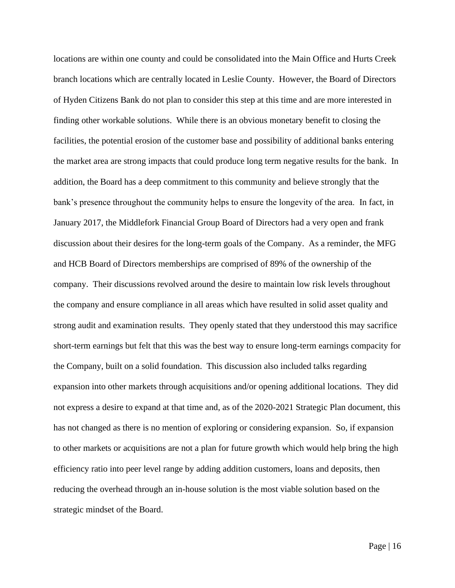locations are within one county and could be consolidated into the Main Office and Hurts Creek branch locations which are centrally located in Leslie County. However, the Board of Directors of Hyden Citizens Bank do not plan to consider this step at this time and are more interested in finding other workable solutions. While there is an obvious monetary benefit to closing the facilities, the potential erosion of the customer base and possibility of additional banks entering the market area are strong impacts that could produce long term negative results for the bank. In addition, the Board has a deep commitment to this community and believe strongly that the bank's presence throughout the community helps to ensure the longevity of the area. In fact, in January 2017, the Middlefork Financial Group Board of Directors had a very open and frank discussion about their desires for the long-term goals of the Company. As a reminder, the MFG and HCB Board of Directors memberships are comprised of 89% of the ownership of the company. Their discussions revolved around the desire to maintain low risk levels throughout the company and ensure compliance in all areas which have resulted in solid asset quality and strong audit and examination results. They openly stated that they understood this may sacrifice short-term earnings but felt that this was the best way to ensure long-term earnings compacity for the Company, built on a solid foundation. This discussion also included talks regarding expansion into other markets through acquisitions and/or opening additional locations. They did not express a desire to expand at that time and, as of the 2020-2021 Strategic Plan document, this has not changed as there is no mention of exploring or considering expansion. So, if expansion to other markets or acquisitions are not a plan for future growth which would help bring the high efficiency ratio into peer level range by adding addition customers, loans and deposits, then reducing the overhead through an in-house solution is the most viable solution based on the strategic mindset of the Board.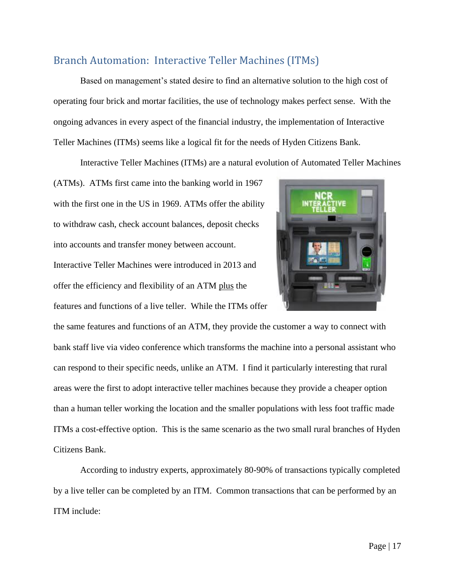## Branch Automation: Interactive Teller Machines (ITMs)

Based on management's stated desire to find an alternative solution to the high cost of operating four brick and mortar facilities, the use of technology makes perfect sense. With the ongoing advances in every aspect of the financial industry, the implementation of Interactive Teller Machines (ITMs) seems like a logical fit for the needs of Hyden Citizens Bank.

Interactive Teller Machines (ITMs) are a natural evolution of Automated Teller Machines

(ATMs). ATMs first came into the banking world in 1967 with the first one in the US in 1969. ATMs offer the ability to withdraw cash, check account balances, deposit checks into accounts and transfer money between account. Interactive Teller Machines were introduced in 2013 and offer the efficiency and flexibility of an ATM plus the features and functions of a live teller. While the ITMs offer



the same features and functions of an ATM, they provide the customer a way to connect with bank staff live via video conference which transforms the machine into a personal assistant who can respond to their specific needs, unlike an ATM. I find it particularly interesting that rural areas were the first to adopt interactive teller machines because they provide a cheaper option than a human teller working the location and the smaller populations with less foot traffic made ITMs a cost-effective option. This is the same scenario as the two small rural branches of Hyden Citizens Bank.

According to industry experts, approximately 80-90% of transactions typically completed by a live teller can be completed by an ITM. Common transactions that can be performed by an ITM include: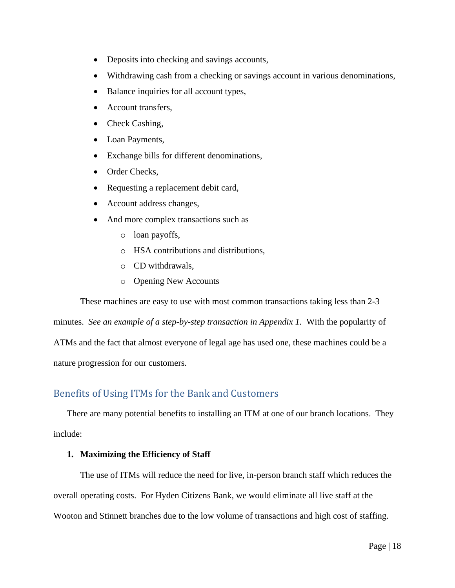- Deposits into checking and savings accounts,
- Withdrawing cash from a checking or savings account in various denominations,
- Balance inquiries for all account types,
- Account transfers,
- Check Cashing,
- Loan Payments,
- Exchange bills for different denominations,
- Order Checks,
- Requesting a replacement debit card,
- Account address changes,
- And more complex transactions such as
	- o loan payoffs,
	- o HSA contributions and distributions,
	- o CD withdrawals,
	- o Opening New Accounts

These machines are easy to use with most common transactions taking less than 2-3

minutes. *See an example of a step-by-step transaction in Appendix 1.* With the popularity of ATMs and the fact that almost everyone of legal age has used one, these machines could be a nature progression for our customers.

## Benefits of Using ITMs for the Bank and Customers

There are many potential benefits to installing an ITM at one of our branch locations. They include:

#### **1. Maximizing the Efficiency of Staff**

The use of ITMs will reduce the need for live, in-person branch staff which reduces the overall operating costs. For Hyden Citizens Bank, we would eliminate all live staff at the Wooton and Stinnett branches due to the low volume of transactions and high cost of staffing.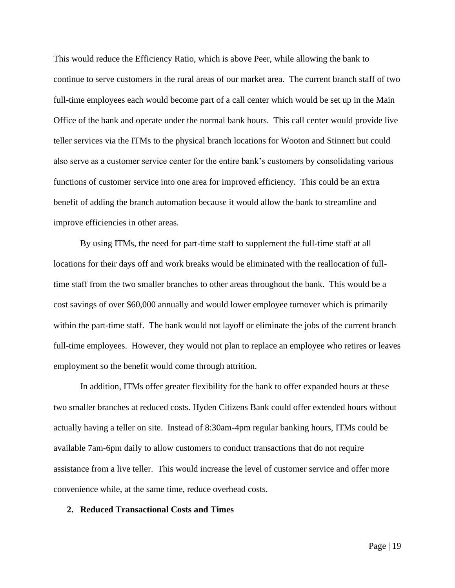This would reduce the Efficiency Ratio, which is above Peer, while allowing the bank to continue to serve customers in the rural areas of our market area. The current branch staff of two full-time employees each would become part of a call center which would be set up in the Main Office of the bank and operate under the normal bank hours. This call center would provide live teller services via the ITMs to the physical branch locations for Wooton and Stinnett but could also serve as a customer service center for the entire bank's customers by consolidating various functions of customer service into one area for improved efficiency. This could be an extra benefit of adding the branch automation because it would allow the bank to streamline and improve efficiencies in other areas.

By using ITMs, the need for part-time staff to supplement the full-time staff at all locations for their days off and work breaks would be eliminated with the reallocation of fulltime staff from the two smaller branches to other areas throughout the bank. This would be a cost savings of over \$60,000 annually and would lower employee turnover which is primarily within the part-time staff. The bank would not layoff or eliminate the jobs of the current branch full-time employees. However, they would not plan to replace an employee who retires or leaves employment so the benefit would come through attrition.

In addition, ITMs offer greater flexibility for the bank to offer expanded hours at these two smaller branches at reduced costs. Hyden Citizens Bank could offer extended hours without actually having a teller on site. Instead of 8:30am-4pm regular banking hours, ITMs could be available 7am-6pm daily to allow customers to conduct transactions that do not require assistance from a live teller. This would increase the level of customer service and offer more convenience while, at the same time, reduce overhead costs.

#### **2. Reduced Transactional Costs and Times**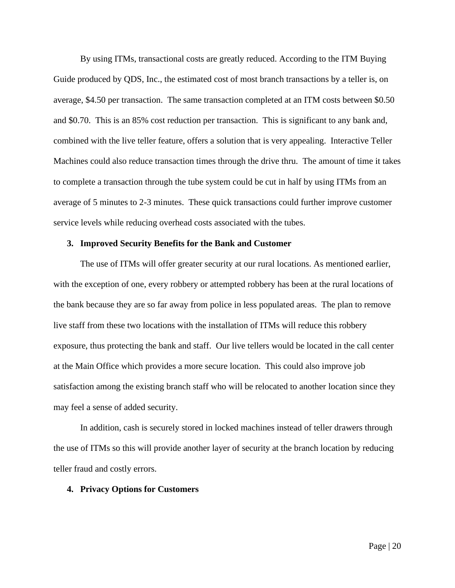By using ITMs, transactional costs are greatly reduced. According to the ITM Buying Guide produced by QDS, Inc., the estimated cost of most branch transactions by a teller is, on average, \$4.50 per transaction. The same transaction completed at an ITM costs between \$0.50 and \$0.70. This is an 85% cost reduction per transaction. This is significant to any bank and, combined with the live teller feature, offers a solution that is very appealing. Interactive Teller Machines could also reduce transaction times through the drive thru. The amount of time it takes to complete a transaction through the tube system could be cut in half by using ITMs from an average of 5 minutes to 2-3 minutes. These quick transactions could further improve customer service levels while reducing overhead costs associated with the tubes.

#### **3. Improved Security Benefits for the Bank and Customer**

The use of ITMs will offer greater security at our rural locations. As mentioned earlier, with the exception of one, every robbery or attempted robbery has been at the rural locations of the bank because they are so far away from police in less populated areas. The plan to remove live staff from these two locations with the installation of ITMs will reduce this robbery exposure, thus protecting the bank and staff. Our live tellers would be located in the call center at the Main Office which provides a more secure location. This could also improve job satisfaction among the existing branch staff who will be relocated to another location since they may feel a sense of added security.

In addition, cash is securely stored in locked machines instead of teller drawers through the use of ITMs so this will provide another layer of security at the branch location by reducing teller fraud and costly errors.

#### **4. Privacy Options for Customers**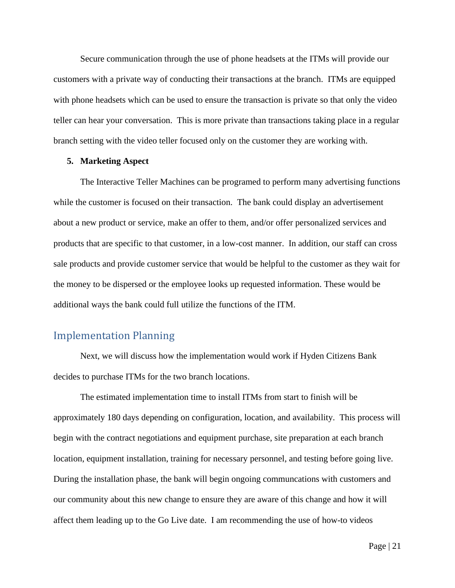Secure communication through the use of phone headsets at the ITMs will provide our customers with a private way of conducting their transactions at the branch. ITMs are equipped with phone headsets which can be used to ensure the transaction is private so that only the video teller can hear your conversation. This is more private than transactions taking place in a regular branch setting with the video teller focused only on the customer they are working with.

#### **5. Marketing Aspect**

The Interactive Teller Machines can be programed to perform many advertising functions while the customer is focused on their transaction. The bank could display an advertisement about a new product or service, make an offer to them, and/or offer personalized services and products that are specific to that customer, in a low-cost manner. In addition, our staff can cross sale products and provide customer service that would be helpful to the customer as they wait for the money to be dispersed or the employee looks up requested information. These would be additional ways the bank could full utilize the functions of the ITM.

#### Implementation Planning

Next, we will discuss how the implementation would work if Hyden Citizens Bank decides to purchase ITMs for the two branch locations.

The estimated implementation time to install ITMs from start to finish will be approximately 180 days depending on configuration, location, and availability. This process will begin with the contract negotiations and equipment purchase, site preparation at each branch location, equipment installation, training for necessary personnel, and testing before going live. During the installation phase, the bank will begin ongoing communcations with customers and our community about this new change to ensure they are aware of this change and how it will affect them leading up to the Go Live date. I am recommending the use of how-to videos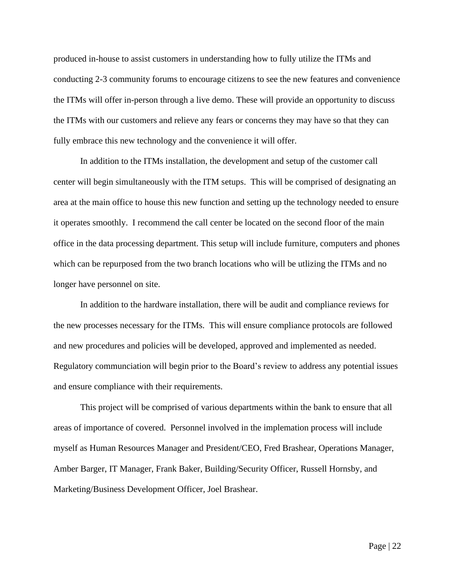produced in-house to assist customers in understanding how to fully utilize the ITMs and conducting 2-3 community forums to encourage citizens to see the new features and convenience the ITMs will offer in-person through a live demo. These will provide an opportunity to discuss the ITMs with our customers and relieve any fears or concerns they may have so that they can fully embrace this new technology and the convenience it will offer.

In addition to the ITMs installation, the development and setup of the customer call center will begin simultaneously with the ITM setups. This will be comprised of designating an area at the main office to house this new function and setting up the technology needed to ensure it operates smoothly. I recommend the call center be located on the second floor of the main office in the data processing department. This setup will include furniture, computers and phones which can be repurposed from the two branch locations who will be utlizing the ITMs and no longer have personnel on site.

In addition to the hardware installation, there will be audit and compliance reviews for the new processes necessary for the ITMs. This will ensure compliance protocols are followed and new procedures and policies will be developed, approved and implemented as needed. Regulatory communciation will begin prior to the Board's review to address any potential issues and ensure compliance with their requirements.

This project will be comprised of various departments within the bank to ensure that all areas of importance of covered. Personnel involved in the implemation process will include myself as Human Resources Manager and President/CEO, Fred Brashear, Operations Manager, Amber Barger, IT Manager, Frank Baker, Building/Security Officer, Russell Hornsby, and Marketing/Business Development Officer, Joel Brashear.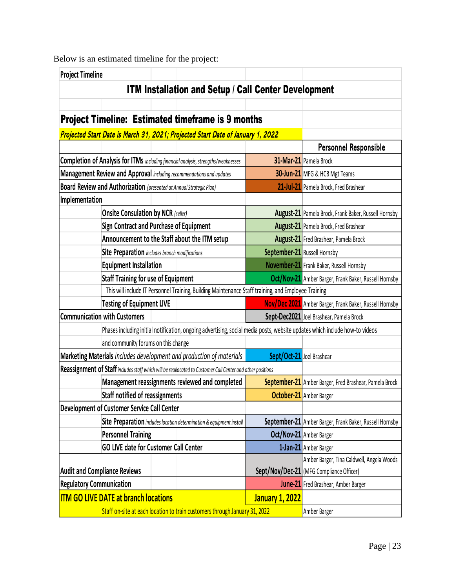Below is an estimated timeline for the project:

| <b>Project Timeline</b>                                                                   |                                                |  |  |                                                                                                            |                              |                                                                                                                             |  |  |  |
|-------------------------------------------------------------------------------------------|------------------------------------------------|--|--|------------------------------------------------------------------------------------------------------------|------------------------------|-----------------------------------------------------------------------------------------------------------------------------|--|--|--|
|                                                                                           |                                                |  |  | <b>ITM Installation and Setup / Call Center Development</b>                                                |                              |                                                                                                                             |  |  |  |
|                                                                                           |                                                |  |  |                                                                                                            |                              |                                                                                                                             |  |  |  |
|                                                                                           |                                                |  |  | <b>Project Timeline: Estimated timeframe is 9 months</b>                                                   |                              |                                                                                                                             |  |  |  |
| Projected Start Date is March 31, 2021; Projected Start Date of January 1, 2022           |                                                |  |  |                                                                                                            |                              |                                                                                                                             |  |  |  |
|                                                                                           |                                                |  |  |                                                                                                            |                              | Personnel Responsible                                                                                                       |  |  |  |
| <b>Completion of Analysis for ITMs</b> including financial analysis, strengths/weaknesses |                                                |  |  |                                                                                                            | 31-Mar-21 Pamela Brock       |                                                                                                                             |  |  |  |
|                                                                                           |                                                |  |  | Management Review and Approval including recommendations and updates                                       |                              | 30-Jun-21 MFG & HCB Mgt Teams                                                                                               |  |  |  |
|                                                                                           |                                                |  |  | Board Review and Authorization (presented at Annual Strategic Plan)                                        |                              | 21-Jul-21 Pamela Brock, Fred Brashear                                                                                       |  |  |  |
| Implementation                                                                            |                                                |  |  |                                                                                                            |                              |                                                                                                                             |  |  |  |
|                                                                                           | <b>Onsite Consulation by NCR (seller)</b>      |  |  |                                                                                                            |                              | <b>August-21</b> Pamela Brock, Frank Baker, Russell Hornsby                                                                 |  |  |  |
|                                                                                           |                                                |  |  | Sign Contract and Purchase of Equipment                                                                    |                              | August-21 Pamela Brock, Fred Brashear                                                                                       |  |  |  |
|                                                                                           |                                                |  |  | Announcement to the Staff about the ITM setup                                                              |                              | August-21 Fred Brashear, Pamela Brock                                                                                       |  |  |  |
|                                                                                           | Site Preparation includes branch modifications |  |  |                                                                                                            | September-21 Russell Hornsby |                                                                                                                             |  |  |  |
|                                                                                           | <b>Equipment Installation</b>                  |  |  |                                                                                                            |                              | November-21 Frank Baker, Russell Hornsby                                                                                    |  |  |  |
|                                                                                           | <b>Staff Training for use of Equipment</b>     |  |  |                                                                                                            |                              | Oct/Nov-21 Amber Barger, Frank Baker, Russell Hornsby                                                                       |  |  |  |
|                                                                                           |                                                |  |  | This will include IT Personnel Training, Building Maintenance Staff training, and Employee Training        |                              |                                                                                                                             |  |  |  |
|                                                                                           | <b>Testing of Equipment LIVE</b>               |  |  |                                                                                                            |                              | Nov/Dec 2021 Amber Barger, Frank Baker, Russell Hornsby                                                                     |  |  |  |
| <b>Communication with Customers</b>                                                       |                                                |  |  |                                                                                                            |                              | Sept-Dec2021 Joel Brashear, Pamela Brock                                                                                    |  |  |  |
|                                                                                           |                                                |  |  |                                                                                                            |                              | Phases including initial notification, ongoing advertising, social media posts, website updates which include how-to videos |  |  |  |
|                                                                                           | and community forums on this change            |  |  |                                                                                                            |                              |                                                                                                                             |  |  |  |
|                                                                                           |                                                |  |  | Marketing Materials includes development and production of materials                                       | Sept/Oct-21 Joel Brashear    |                                                                                                                             |  |  |  |
|                                                                                           |                                                |  |  | Reassignment of Staff includes staff which will be reallocated to Customer Call Center and other positions |                              |                                                                                                                             |  |  |  |
|                                                                                           |                                                |  |  | Management reassignments reviewed and completed                                                            |                              | September-21 Amber Barger, Fred Brashear, Pamela Brock                                                                      |  |  |  |
|                                                                                           | Staff notified of reassignments                |  |  |                                                                                                            |                              | <b>October-21</b> Amber Barger                                                                                              |  |  |  |
| Development of Customer Service Call Center                                               |                                                |  |  |                                                                                                            |                              |                                                                                                                             |  |  |  |
| Site Preparation includes location determination & equipment install                      |                                                |  |  |                                                                                                            |                              | September-21 Amber Barger, Frank Baker, Russell Hornsby                                                                     |  |  |  |
| <b>Personnel Training</b>                                                                 |                                                |  |  |                                                                                                            |                              | Oct/Nov-21 Amber Barger                                                                                                     |  |  |  |
| <b>GO LIVE date for Customer Call Center</b>                                              |                                                |  |  |                                                                                                            |                              | 1-Jan-21 Amber Barger                                                                                                       |  |  |  |
|                                                                                           |                                                |  |  |                                                                                                            |                              | Amber Barger, Tina Caldwell, Angela Woods                                                                                   |  |  |  |
| <b>Audit and Compliance Reviews</b>                                                       |                                                |  |  |                                                                                                            |                              | Sept/Nov/Dec-21 (MFG Compliance Officer)                                                                                    |  |  |  |
| <b>Regulatory Communication</b>                                                           |                                                |  |  |                                                                                                            |                              | June-21 Fred Brashear, Amber Barger                                                                                         |  |  |  |
| <b>ITM GO LIVE DATE at branch locations</b>                                               |                                                |  |  |                                                                                                            | <b>January 1, 2022</b>       |                                                                                                                             |  |  |  |
| Staff on-site at each location to train customers through January 31, 2022                |                                                |  |  |                                                                                                            |                              | Amber Barger                                                                                                                |  |  |  |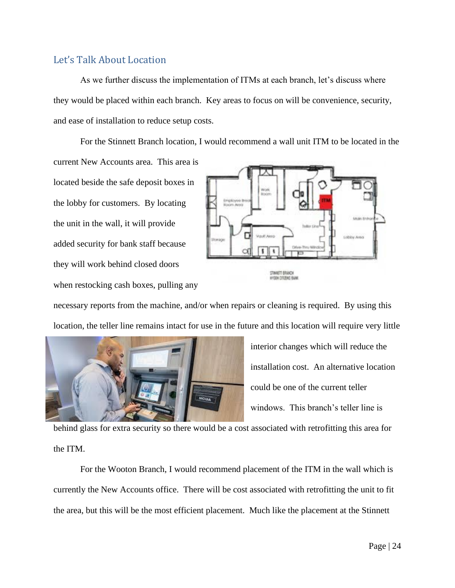#### Let's Talk About Location

As we further discuss the implementation of ITMs at each branch, let's discuss where they would be placed within each branch. Key areas to focus on will be convenience, security, and ease of installation to reduce setup costs.

For the Stinnett Branch location, I would recommend a wall unit ITM to be located in the current New Accounts area. This area is located beside the safe deposit boxes in the lobby for customers. By locating the unit in the wall, it will provide obby Area added security for bank staff because т they will work behind closed doors **STIMETT BRAICH INTER CITIZENS BANK** when restocking cash boxes, pulling any

necessary reports from the machine, and/or when repairs or cleaning is required. By using this location, the teller line remains intact for use in the future and this location will require very little



interior changes which will reduce the installation cost. An alternative location could be one of the current teller windows. This branch's teller line is

behind glass for extra security so there would be a cost associated with retrofitting this area for the ITM.

For the Wooton Branch, I would recommend placement of the ITM in the wall which is currently the New Accounts office. There will be cost associated with retrofitting the unit to fit the area, but this will be the most efficient placement. Much like the placement at the Stinnett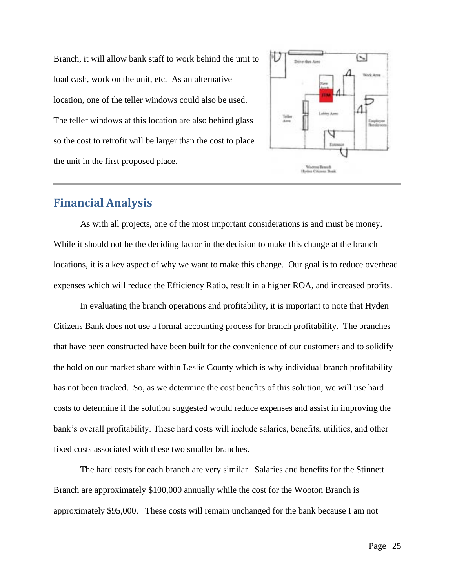Branch, it will allow bank staff to work behind the unit to load cash, work on the unit, etc. As an alternative location, one of the teller windows could also be used. The teller windows at this location are also behind glass so the cost to retrofit will be larger than the cost to place the unit in the first proposed place.



## **Financial Analysis**

As with all projects, one of the most important considerations is and must be money. While it should not be the deciding factor in the decision to make this change at the branch locations, it is a key aspect of why we want to make this change. Our goal is to reduce overhead expenses which will reduce the Efficiency Ratio, result in a higher ROA, and increased profits.

In evaluating the branch operations and profitability, it is important to note that Hyden Citizens Bank does not use a formal accounting process for branch profitability. The branches that have been constructed have been built for the convenience of our customers and to solidify the hold on our market share within Leslie County which is why individual branch profitability has not been tracked. So, as we determine the cost benefits of this solution, we will use hard costs to determine if the solution suggested would reduce expenses and assist in improving the bank's overall profitability. These hard costs will include salaries, benefits, utilities, and other fixed costs associated with these two smaller branches.

The hard costs for each branch are very similar. Salaries and benefits for the Stinnett Branch are approximately \$100,000 annually while the cost for the Wooton Branch is approximately \$95,000. These costs will remain unchanged for the bank because I am not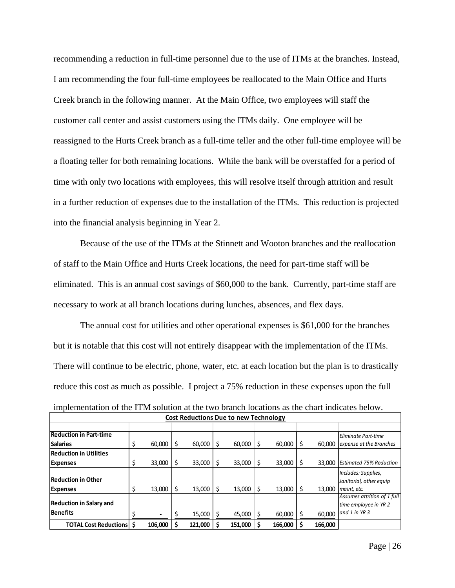recommending a reduction in full-time personnel due to the use of ITMs at the branches. Instead, I am recommending the four full-time employees be reallocated to the Main Office and Hurts Creek branch in the following manner. At the Main Office, two employees will staff the customer call center and assist customers using the ITMs daily. One employee will be reassigned to the Hurts Creek branch as a full-time teller and the other full-time employee will be a floating teller for both remaining locations. While the bank will be overstaffed for a period of time with only two locations with employees, this will resolve itself through attrition and result in a further reduction of expenses due to the installation of the ITMs. This reduction is projected into the financial analysis beginning in Year 2.

Because of the use of the ITMs at the Stinnett and Wooton branches and the reallocation of staff to the Main Office and Hurts Creek locations, the need for part-time staff will be eliminated. This is an annual cost savings of \$60,000 to the bank. Currently, part-time staff are necessary to work at all branch locations during lunches, absences, and flex days.

The annual cost for utilities and other operational expenses is \$61,000 for the branches but it is notable that this cost will not entirely disappear with the implementation of the ITMs. There will continue to be electric, phone, water, etc. at each location but the plan is to drastically reduce this cost as much as possible. I project a 75% reduction in these expenses upon the full

| <b>Cost Reductions Due to new Technology</b> |    |         |   |         |    |         |    |         |    |         |                                                                       |  |
|----------------------------------------------|----|---------|---|---------|----|---------|----|---------|----|---------|-----------------------------------------------------------------------|--|
|                                              |    |         |   |         |    |         |    |         |    |         |                                                                       |  |
| <b>Reduction in Part-time</b>                |    |         |   |         |    |         |    |         |    |         | Eliminate Part-time                                                   |  |
| <b>Salaries</b>                              | \$ | 60,000  | S | 60.000  | \$ | 60,000  | -S | 60,000  | -S | 60.000  | expense at the Branches                                               |  |
| <b>Reduction in Utilities</b>                |    |         |   |         |    |         |    |         |    |         |                                                                       |  |
| <b>Expenses</b>                              | \$ | 33,000  | S | 33,000  | \$ | 33,000  | -S | 33,000  | -S | 33,000  | <b>Estimated 75% Reduction</b>                                        |  |
| Reduction in Other                           |    |         |   |         |    |         |    |         |    |         | Includes: Supplies,<br>Janitorial, other equip                        |  |
| <b>Expenses</b>                              | \$ | 13,000  | S | 13,000  | \$ | 13,000  | S  | 13,000  | S  | 13.000  | maint, etc.                                                           |  |
| <b>Reduction in Salary and</b><br>Benefits   |    |         |   | 15,000  |    | 45,000  |    | 60,000  |    | 60.000  | Assumes attrition of 1 full<br>time employee in YR 2<br>and 1 in YR 3 |  |
| <b>TOTAL Cost Reductions   \$</b>            |    | 106.000 |   | 121,000 |    | 151.000 |    | 166.000 |    | 166,000 |                                                                       |  |

implementation of the ITM solution at the two branch locations as the chart indicates below.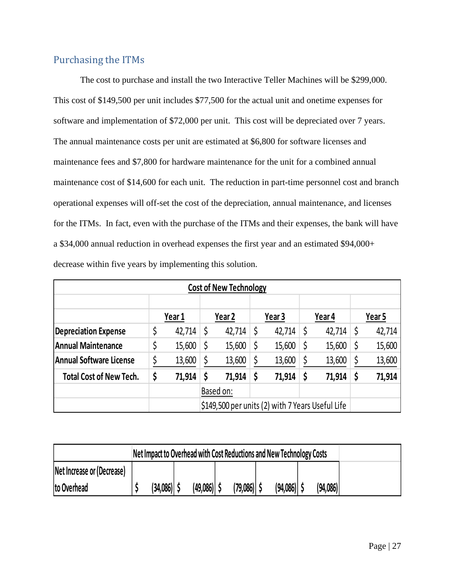## Purchasing the ITMs

The cost to purchase and install the two Interactive Teller Machines will be \$299,000. This cost of \$149,500 per unit includes \$77,500 for the actual unit and onetime expenses for software and implementation of \$72,000 per unit. This cost will be depreciated over 7 years. The annual maintenance costs per unit are estimated at \$6,800 for software licenses and maintenance fees and \$7,800 for hardware maintenance for the unit for a combined annual maintenance cost of \$14,600 for each unit. The reduction in part-time personnel cost and branch operational expenses will off-set the cost of the depreciation, annual maintenance, and licenses for the ITMs. In fact, even with the purchase of the ITMs and their expenses, the bank will have a \$34,000 annual reduction in overhead expenses the first year and an estimated \$94,000+ decrease within five years by implementing this solution.

| <b>Cost of New Technology</b>                    |    |        |  |                   |    |                   |    |        |    |        |  |  |  |
|--------------------------------------------------|----|--------|--|-------------------|----|-------------------|----|--------|----|--------|--|--|--|
|                                                  |    |        |  |                   |    |                   |    |        |    |        |  |  |  |
|                                                  |    | Year 1 |  | Year <sub>2</sub> |    | Year <sub>3</sub> |    | Year 4 |    | Year 5 |  |  |  |
| <b>Depreciation Expense</b>                      | \$ | 42,714 |  | 42,714            | \$ | 42,714            | \$ | 42,714 |    | 42,714 |  |  |  |
| <b>Annual Maintenance</b>                        |    | 15,600 |  | 15,600            | \$ | 15,600            | \$ | 15,600 |    | 15,600 |  |  |  |
| Annual Software License                          |    | 13,600 |  | 13,600            |    | 13,600            | \$ | 13,600 |    | 13,600 |  |  |  |
| <b>Total Cost of New Tech.</b>                   | \$ | 71,914 |  | 71,914            | \$ | 71,914            | \$ | 71,914 | \$ | 71,914 |  |  |  |
|                                                  |    |        |  | Based on:         |    |                   |    |        |    |        |  |  |  |
| \$149,500 per units (2) with 7 Years Useful Life |    |        |  |                   |    |                   |    |        |    |        |  |  |  |

|                            | Net Impact to Overhead with Cost Reductions and New Technology Costs |               |                 |               |          |  |
|----------------------------|----------------------------------------------------------------------|---------------|-----------------|---------------|----------|--|
| Net Increase or (Decrease) |                                                                      |               |                 |               |          |  |
| to Overhead                | $(34,086)$ \$                                                        | $(49,086)$ \$ | $(79,086)$   \$ | $(94,086)$ \$ | (94,086) |  |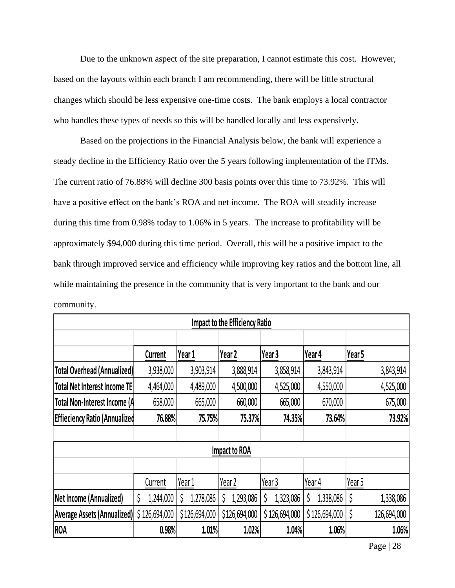Due to the unknown aspect of the site preparation, I cannot estimate this cost. However, based on the layouts within each branch I am recommending, there will be little structural changes which should be less expensive one-time costs. The bank employs a local contractor who handles these types of needs so this will be handled locally and less expensively.

Based on the projections in the Financial Analysis below, the bank will experience a steady decline in the Efficiency Ratio over the 5 years following implementation of the ITMs. The current ratio of 76.88% will decline 300 basis points over this time to 73.92%. This will have a positive effect on the bank's ROA and net income. The ROA will steadily increase during this time from 0.98% today to 1.06% in 5 years. The increase to profitability will be approximately \$94,000 during this time period. Overall, this will be a positive impact to the bank through improved service and efficiency while improving key ratios and the bottom line, all while maintaining the presence in the community that is very important to the bank and our community.

| Impact to the Efficiency Ratio       |                |                |               |                   |               |                   |  |  |  |  |  |  |  |
|--------------------------------------|----------------|----------------|---------------|-------------------|---------------|-------------------|--|--|--|--|--|--|--|
|                                      |                |                |               |                   |               |                   |  |  |  |  |  |  |  |
|                                      | <b>Current</b> | Year 1         | Year 2        | Year <sub>3</sub> | Year 4        | Year 5            |  |  |  |  |  |  |  |
| Total Overhead (Annualized)          | 3,938,000      | 3,903,914      | 3,888,914     | 3,858,914         | 3,843,914     | 3,843,914         |  |  |  |  |  |  |  |
| <b>Total Net Interest Income TE</b>  | 4,464,000      | 4,489,000      | 4,500,000     | 4,525,000         | 4,550,000     | 4,525,000         |  |  |  |  |  |  |  |
| Total Non-Interest Income (A         | 658,000        | 665,000        | 660,000       | 665,000           | 670,000       | 675,000           |  |  |  |  |  |  |  |
| <b>Effieciency Ratio (Annualized</b> | 76.88%         | 75.75%         | 75.37%        | 74.35%            | 73.64%        | 73.92%            |  |  |  |  |  |  |  |
|                                      |                |                |               |                   |               |                   |  |  |  |  |  |  |  |
|                                      |                |                | Impact to ROA |                   |               |                   |  |  |  |  |  |  |  |
|                                      |                |                |               |                   |               |                   |  |  |  |  |  |  |  |
|                                      | Current        | Year 1         | Year 2        | Year 3            | Year 4        | Year 5            |  |  |  |  |  |  |  |
| Net Income (Annualized)              | 1,244,000<br>S | 1,278,086<br>Ş | 1,293,086     | 1,323,086         | 1,338,086     | 1,338,086<br>Ş    |  |  |  |  |  |  |  |
| <b>Average Assets (Annualized)</b>   | \$126,694,000  | \$126,694,000  | \$126,694,000 | \$126,694,000     | \$126,694,000 | \$<br>126,694,000 |  |  |  |  |  |  |  |
| <b>ROA</b>                           | 0.98%          | 1.01%          | 1.02%         | 1.04%             | 1.06%         | 1.06%             |  |  |  |  |  |  |  |

Page | 28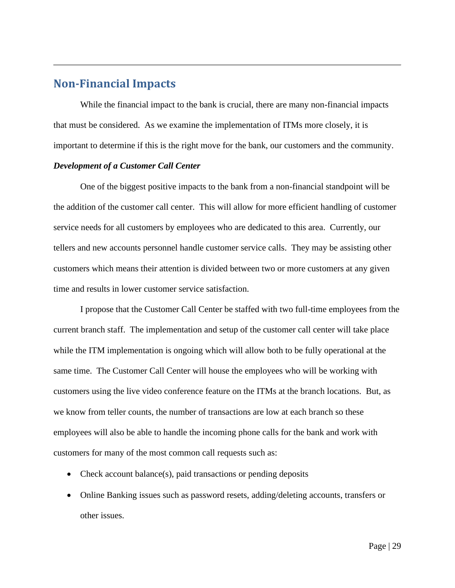## **Non-Financial Impacts**

While the financial impact to the bank is crucial, there are many non-financial impacts that must be considered. As we examine the implementation of ITMs more closely, it is important to determine if this is the right move for the bank, our customers and the community.

#### *Development of a Customer Call Center*

One of the biggest positive impacts to the bank from a non-financial standpoint will be the addition of the customer call center. This will allow for more efficient handling of customer service needs for all customers by employees who are dedicated to this area. Currently, our tellers and new accounts personnel handle customer service calls. They may be assisting other customers which means their attention is divided between two or more customers at any given time and results in lower customer service satisfaction.

I propose that the Customer Call Center be staffed with two full-time employees from the current branch staff. The implementation and setup of the customer call center will take place while the ITM implementation is ongoing which will allow both to be fully operational at the same time. The Customer Call Center will house the employees who will be working with customers using the live video conference feature on the ITMs at the branch locations. But, as we know from teller counts, the number of transactions are low at each branch so these employees will also be able to handle the incoming phone calls for the bank and work with customers for many of the most common call requests such as:

- Check account balance(s), paid transactions or pending deposits
- Online Banking issues such as password resets, adding/deleting accounts, transfers or other issues.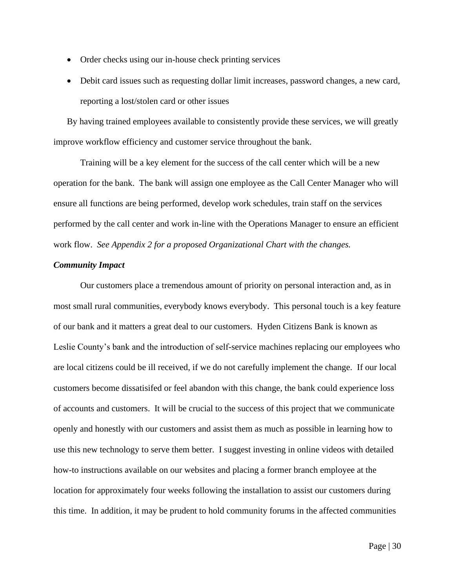- Order checks using our in-house check printing services
- Debit card issues such as requesting dollar limit increases, password changes, a new card, reporting a lost/stolen card or other issues

By having trained employees available to consistently provide these services, we will greatly improve workflow efficiency and customer service throughout the bank.

Training will be a key element for the success of the call center which will be a new operation for the bank. The bank will assign one employee as the Call Center Manager who will ensure all functions are being performed, develop work schedules, train staff on the services performed by the call center and work in-line with the Operations Manager to ensure an efficient work flow. *See Appendix 2 for a proposed Organizational Chart with the changes.*

#### *Community Impact*

Our customers place a tremendous amount of priority on personal interaction and, as in most small rural communities, everybody knows everybody. This personal touch is a key feature of our bank and it matters a great deal to our customers. Hyden Citizens Bank is known as Leslie County's bank and the introduction of self-service machines replacing our employees who are local citizens could be ill received, if we do not carefully implement the change. If our local customers become dissatisifed or feel abandon with this change, the bank could experience loss of accounts and customers. It will be crucial to the success of this project that we communicate openly and honestly with our customers and assist them as much as possible in learning how to use this new technology to serve them better. I suggest investing in online videos with detailed how-to instructions available on our websites and placing a former branch employee at the location for approximately four weeks following the installation to assist our customers during this time. In addition, it may be prudent to hold community forums in the affected communities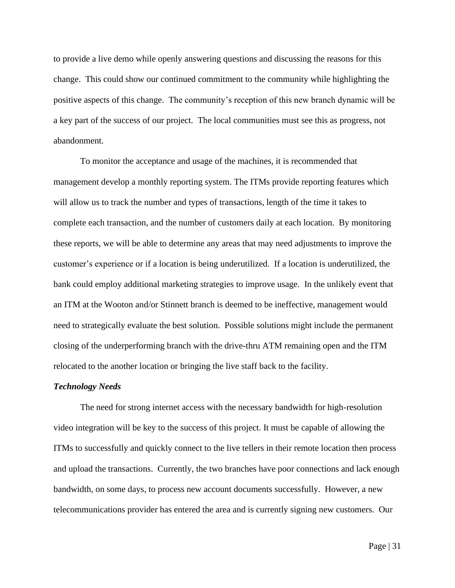to provide a live demo while openly answering questions and discussing the reasons for this change. This could show our continued commitment to the community while highlighting the positive aspects of this change. The community's reception of this new branch dynamic will be a key part of the success of our project. The local communities must see this as progress, not abandonment.

To monitor the acceptance and usage of the machines, it is recommended that management develop a monthly reporting system. The ITMs provide reporting features which will allow us to track the number and types of transactions, length of the time it takes to complete each transaction, and the number of customers daily at each location. By monitoring these reports, we will be able to determine any areas that may need adjustments to improve the customer's experience or if a location is being underutilized. If a location is underutilized, the bank could employ additional marketing strategies to improve usage. In the unlikely event that an ITM at the Wooton and/or Stinnett branch is deemed to be ineffective, management would need to strategically evaluate the best solution. Possible solutions might include the permanent closing of the underperforming branch with the drive-thru ATM remaining open and the ITM relocated to the another location or bringing the live staff back to the facility.

#### *Technology Needs*

The need for strong internet access with the necessary bandwidth for high-resolution video integration will be key to the success of this project. It must be capable of allowing the ITMs to successfully and quickly connect to the live tellers in their remote location then process and upload the transactions. Currently, the two branches have poor connections and lack enough bandwidth, on some days, to process new account documents successfully. However, a new telecommunications provider has entered the area and is currently signing new customers. Our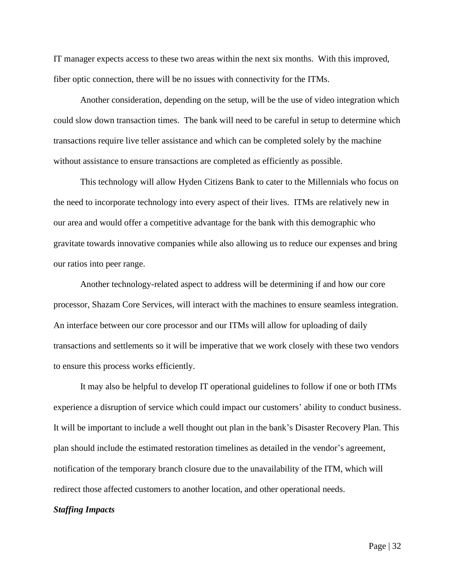IT manager expects access to these two areas within the next six months. With this improved, fiber optic connection, there will be no issues with connectivity for the ITMs.

Another consideration, depending on the setup, will be the use of video integration which could slow down transaction times. The bank will need to be careful in setup to determine which transactions require live teller assistance and which can be completed solely by the machine without assistance to ensure transactions are completed as efficiently as possible.

This technology will allow Hyden Citizens Bank to cater to the Millennials who focus on the need to incorporate technology into every aspect of their lives. ITMs are relatively new in our area and would offer a competitive advantage for the bank with this demographic who gravitate towards innovative companies while also allowing us to reduce our expenses and bring our ratios into peer range.

Another technology-related aspect to address will be determining if and how our core processor, Shazam Core Services, will interact with the machines to ensure seamless integration. An interface between our core processor and our ITMs will allow for uploading of daily transactions and settlements so it will be imperative that we work closely with these two vendors to ensure this process works efficiently.

It may also be helpful to develop IT operational guidelines to follow if one or both ITMs experience a disruption of service which could impact our customers' ability to conduct business. It will be important to include a well thought out plan in the bank's Disaster Recovery Plan. This plan should include the estimated restoration timelines as detailed in the vendor's agreement, notification of the temporary branch closure due to the unavailability of the ITM, which will redirect those affected customers to another location, and other operational needs.

#### *Staffing Impacts*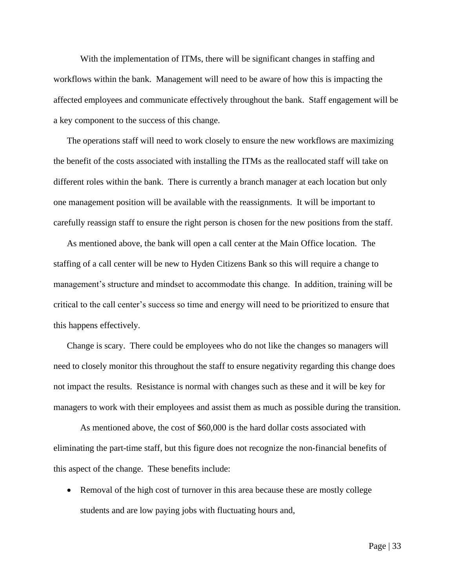With the implementation of ITMs, there will be significant changes in staffing and workflows within the bank. Management will need to be aware of how this is impacting the affected employees and communicate effectively throughout the bank. Staff engagement will be a key component to the success of this change.

The operations staff will need to work closely to ensure the new workflows are maximizing the benefit of the costs associated with installing the ITMs as the reallocated staff will take on different roles within the bank. There is currently a branch manager at each location but only one management position will be available with the reassignments. It will be important to carefully reassign staff to ensure the right person is chosen for the new positions from the staff.

As mentioned above, the bank will open a call center at the Main Office location. The staffing of a call center will be new to Hyden Citizens Bank so this will require a change to management's structure and mindset to accommodate this change. In addition, training will be critical to the call center's success so time and energy will need to be prioritized to ensure that this happens effectively.

Change is scary. There could be employees who do not like the changes so managers will need to closely monitor this throughout the staff to ensure negativity regarding this change does not impact the results. Resistance is normal with changes such as these and it will be key for managers to work with their employees and assist them as much as possible during the transition.

As mentioned above, the cost of \$60,000 is the hard dollar costs associated with eliminating the part-time staff, but this figure does not recognize the non-financial benefits of this aspect of the change. These benefits include:

• Removal of the high cost of turnover in this area because these are mostly college students and are low paying jobs with fluctuating hours and,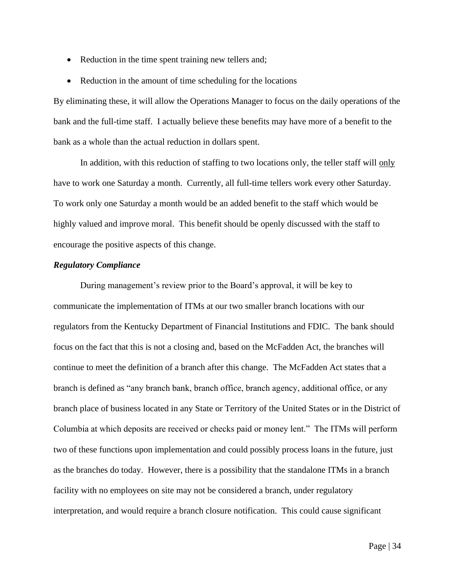- Reduction in the time spent training new tellers and;
- Reduction in the amount of time scheduling for the locations

By eliminating these, it will allow the Operations Manager to focus on the daily operations of the bank and the full-time staff. I actually believe these benefits may have more of a benefit to the bank as a whole than the actual reduction in dollars spent.

In addition, with this reduction of staffing to two locations only, the teller staff will only have to work one Saturday a month. Currently, all full-time tellers work every other Saturday. To work only one Saturday a month would be an added benefit to the staff which would be highly valued and improve moral. This benefit should be openly discussed with the staff to encourage the positive aspects of this change.

#### *Regulatory Compliance*

During management's review prior to the Board's approval, it will be key to communicate the implementation of ITMs at our two smaller branch locations with our regulators from the Kentucky Department of Financial Institutions and FDIC. The bank should focus on the fact that this is not a closing and, based on the McFadden Act, the branches will continue to meet the definition of a branch after this change. The McFadden Act states that a branch is defined as "any branch bank, branch office, branch agency, additional office, or any branch place of business located in any State or Territory of the United States or in the District of Columbia at which deposits are received or checks paid or money lent." The ITMs will perform two of these functions upon implementation and could possibly process loans in the future, just as the branches do today. However, there is a possibility that the standalone ITMs in a branch facility with no employees on site may not be considered a branch, under regulatory interpretation, and would require a branch closure notification. This could cause significant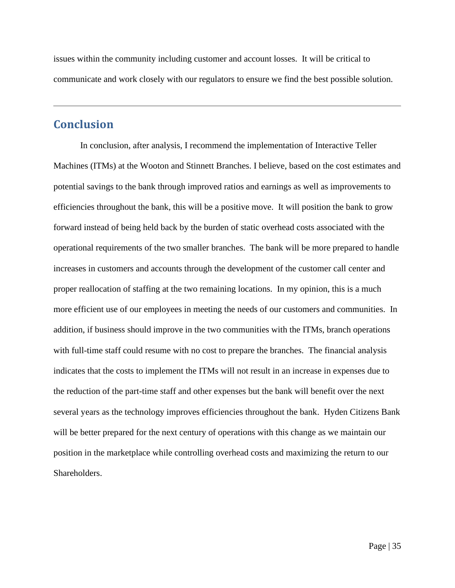issues within the community including customer and account losses. It will be critical to communicate and work closely with our regulators to ensure we find the best possible solution.

## **Conclusion**

In conclusion, after analysis, I recommend the implementation of Interactive Teller Machines (ITMs) at the Wooton and Stinnett Branches. I believe, based on the cost estimates and potential savings to the bank through improved ratios and earnings as well as improvements to efficiencies throughout the bank, this will be a positive move. It will position the bank to grow forward instead of being held back by the burden of static overhead costs associated with the operational requirements of the two smaller branches. The bank will be more prepared to handle increases in customers and accounts through the development of the customer call center and proper reallocation of staffing at the two remaining locations. In my opinion, this is a much more efficient use of our employees in meeting the needs of our customers and communities. In addition, if business should improve in the two communities with the ITMs, branch operations with full-time staff could resume with no cost to prepare the branches. The financial analysis indicates that the costs to implement the ITMs will not result in an increase in expenses due to the reduction of the part-time staff and other expenses but the bank will benefit over the next several years as the technology improves efficiencies throughout the bank. Hyden Citizens Bank will be better prepared for the next century of operations with this change as we maintain our position in the marketplace while controlling overhead costs and maximizing the return to our Shareholders.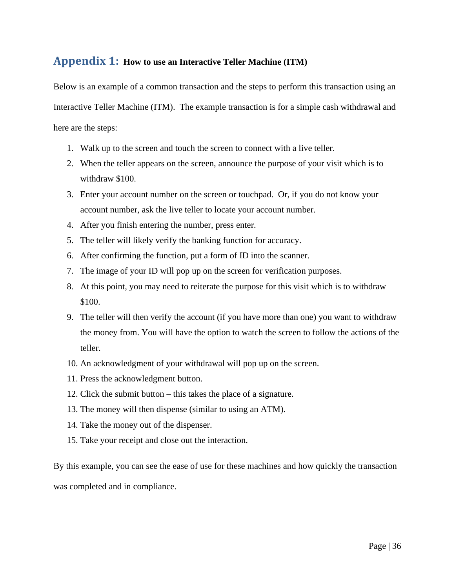## **Appendix 1: How to use an Interactive Teller Machine (ITM)**

Below is an example of a common transaction and the steps to perform this transaction using an Interactive Teller Machine (ITM). The example transaction is for a simple cash withdrawal and here are the steps:

- 1. Walk up to the screen and touch the screen to connect with a live teller.
- 2. When the teller appears on the screen, announce the purpose of your visit which is to withdraw \$100.
- 3. Enter your account number on the screen or touchpad. Or, if you do not know your account number, ask the live teller to locate your account number.
- 4. After you finish entering the number, press enter.
- 5. The teller will likely verify the banking function for accuracy.
- 6. After confirming the function, put a form of ID into the scanner.
- 7. The image of your ID will pop up on the screen for verification purposes.
- 8. At this point, you may need to reiterate the purpose for this visit which is to withdraw \$100.
- 9. The teller will then verify the account (if you have more than one) you want to withdraw the money from. You will have the option to watch the screen to follow the actions of the teller.
- 10. An acknowledgment of your withdrawal will pop up on the screen.
- 11. Press the acknowledgment button.
- 12. Click the submit button this takes the place of a signature.
- 13. The money will then dispense (similar to using an ATM).
- 14. Take the money out of the dispenser.
- 15. Take your receipt and close out the interaction.

By this example, you can see the ease of use for these machines and how quickly the transaction was completed and in compliance.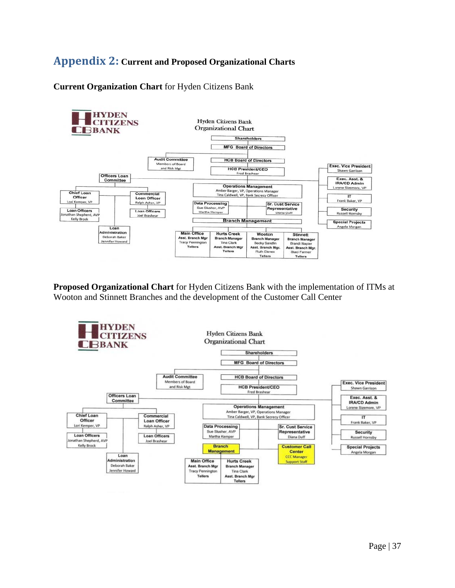## **Appendix 2: Current and Proposed Organizational Charts**

**Current Organization Chart** for Hyden Citizens Bank



**Proposed Organizational Chart** for Hyden Citizens Bank with the implementation of ITMs at Wooton and Stinnett Branches and the development of the Customer Call Center